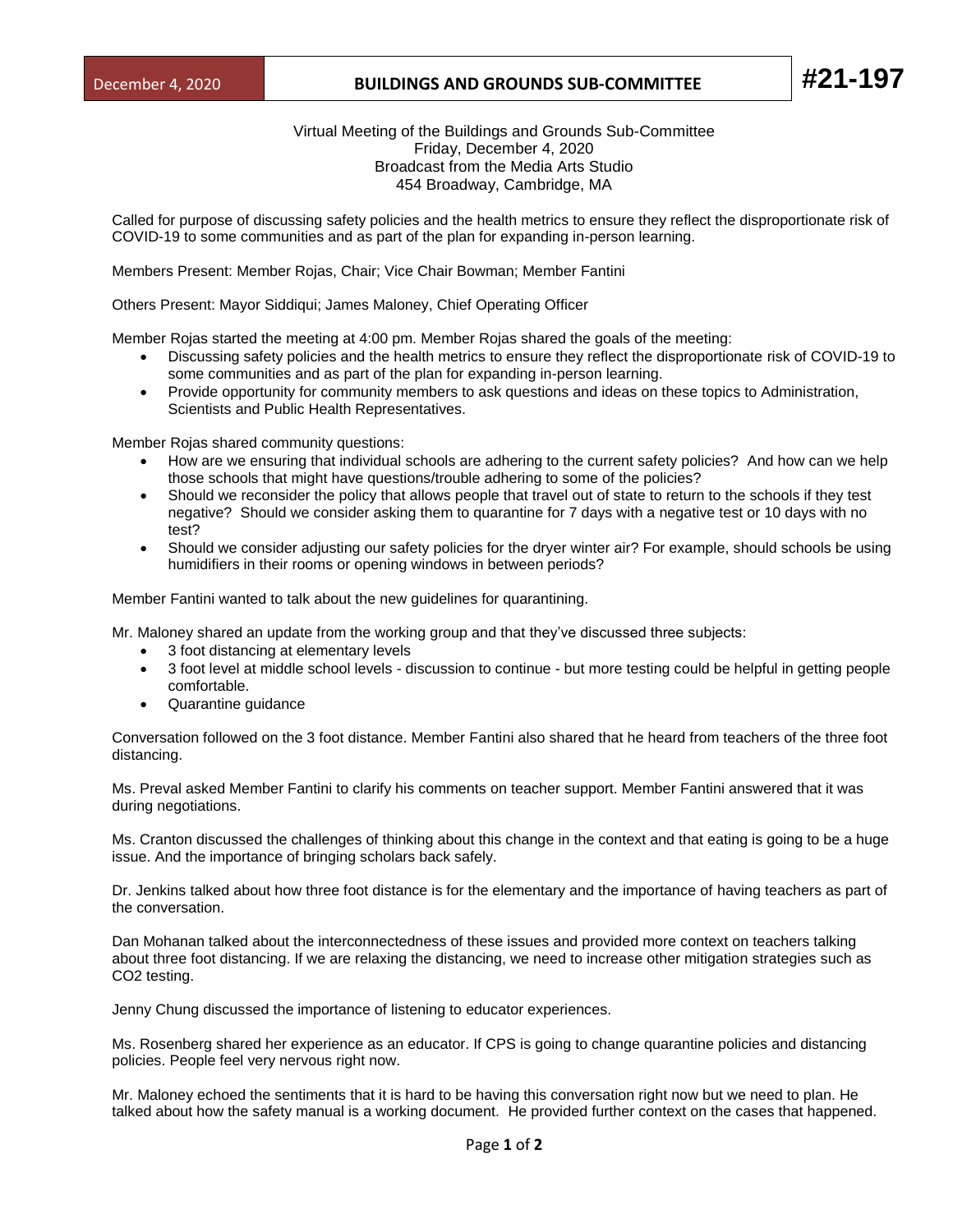## December 4, 2020 **BUILDINGS AND GROUNDS SUB-COMMITTEE #21-197**

Virtual Meeting of the Buildings and Grounds Sub-Committee Friday, December 4, 2020 Broadcast from the Media Arts Studio 454 Broadway, Cambridge, MA

Called for purpose of discussing safety policies and the health metrics to ensure they reflect the disproportionate risk of COVID-19 to some communities and as part of the plan for expanding in-person learning.

Members Present: Member Rojas, Chair; Vice Chair Bowman; Member Fantini

Others Present: Mayor Siddiqui; James Maloney, Chief Operating Officer

Member Rojas started the meeting at 4:00 pm. Member Rojas shared the goals of the meeting:

- Discussing safety policies and the health metrics to ensure they reflect the disproportionate risk of COVID-19 to some communities and as part of the plan for expanding in-person learning.
- Provide opportunity for community members to ask questions and ideas on these topics to Administration, Scientists and Public Health Representatives.

Member Rojas shared community questions:

- How are we ensuring that individual schools are adhering to the current safety policies? And how can we help those schools that might have questions/trouble adhering to some of the policies?
- Should we reconsider the policy that allows people that travel out of state to return to the schools if they test negative? Should we consider asking them to quarantine for 7 days with a negative test or 10 days with no test?
- Should we consider adjusting our safety policies for the dryer winter air? For example, should schools be using humidifiers in their rooms or opening windows in between periods?

Member Fantini wanted to talk about the new guidelines for quarantining.

Mr. Maloney shared an update from the working group and that they've discussed three subjects:

- 3 foot distancing at elementary levels
- 3 foot level at middle school levels discussion to continue but more testing could be helpful in getting people comfortable.
- Quarantine guidance

Conversation followed on the 3 foot distance. Member Fantini also shared that he heard from teachers of the three foot distancing.

Ms. Preval asked Member Fantini to clarify his comments on teacher support. Member Fantini answered that it was during negotiations.

Ms. Cranton discussed the challenges of thinking about this change in the context and that eating is going to be a huge issue. And the importance of bringing scholars back safely.

Dr. Jenkins talked about how three foot distance is for the elementary and the importance of having teachers as part of the conversation.

Dan Mohanan talked about the interconnectedness of these issues and provided more context on teachers talking about three foot distancing. If we are relaxing the distancing, we need to increase other mitigation strategies such as CO2 testing.

Jenny Chung discussed the importance of listening to educator experiences.

Ms. Rosenberg shared her experience as an educator. If CPS is going to change quarantine policies and distancing policies. People feel very nervous right now.

Mr. Maloney echoed the sentiments that it is hard to be having this conversation right now but we need to plan. He talked about how the safety manual is a working document. He provided further context on the cases that happened.